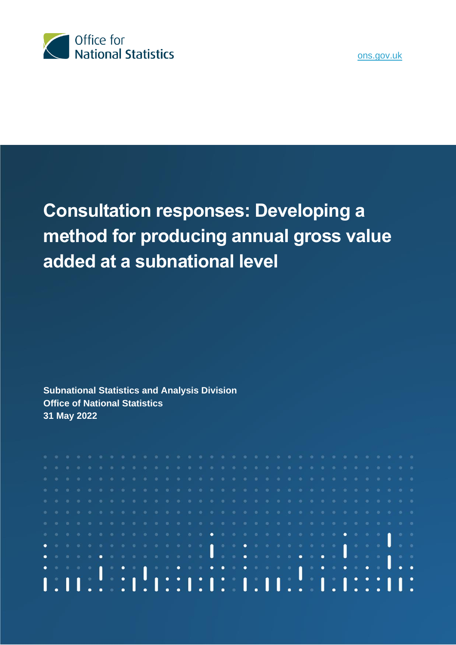

# **Consultation responses: Developing a method for producing annual gross value added at a subnational level**

**Subnational Statistics and Analysis Division Office of National Statistics 31 May 2022**

|  |  |  |  |  |  |  |  |  |  |  |  |  |  |  |  | a a batalara a batalara a batalara a batalara batalara a tara a                                                |  |
|--|--|--|--|--|--|--|--|--|--|--|--|--|--|--|--|----------------------------------------------------------------------------------------------------------------|--|
|  |  |  |  |  |  |  |  |  |  |  |  |  |  |  |  |                                                                                                                |  |
|  |  |  |  |  |  |  |  |  |  |  |  |  |  |  |  |                                                                                                                |  |
|  |  |  |  |  |  |  |  |  |  |  |  |  |  |  |  | . The second second second second second second second second second second second second second second second |  |
|  |  |  |  |  |  |  |  |  |  |  |  |  |  |  |  |                                                                                                                |  |
|  |  |  |  |  |  |  |  |  |  |  |  |  |  |  |  |                                                                                                                |  |
|  |  |  |  |  |  |  |  |  |  |  |  |  |  |  |  |                                                                                                                |  |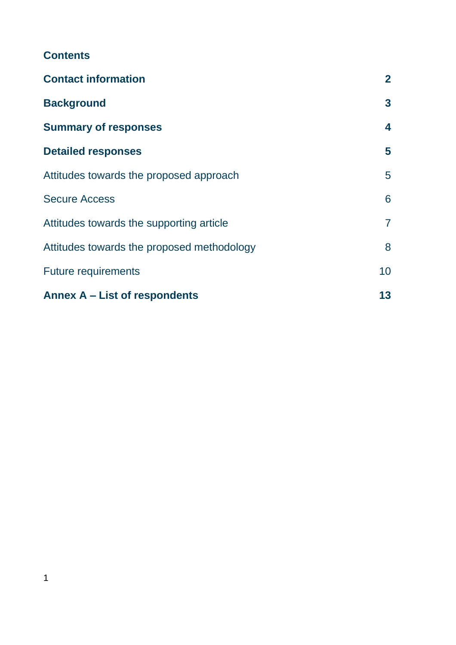| <b>Contact information</b>                 | $\overline{2}$ |  |  |  |  |
|--------------------------------------------|----------------|--|--|--|--|
| <b>Background</b>                          | $\mathbf{3}$   |  |  |  |  |
| <b>Summary of responses</b>                | 4              |  |  |  |  |
| <b>Detailed responses</b>                  | 5              |  |  |  |  |
| Attitudes towards the proposed approach    | 5              |  |  |  |  |
| <b>Secure Access</b>                       | 6              |  |  |  |  |
| Attitudes towards the supporting article   | $\overline{7}$ |  |  |  |  |
| Attitudes towards the proposed methodology | 8              |  |  |  |  |
| <b>Future requirements</b>                 | 10             |  |  |  |  |
| Annex A – List of respondents              | 13             |  |  |  |  |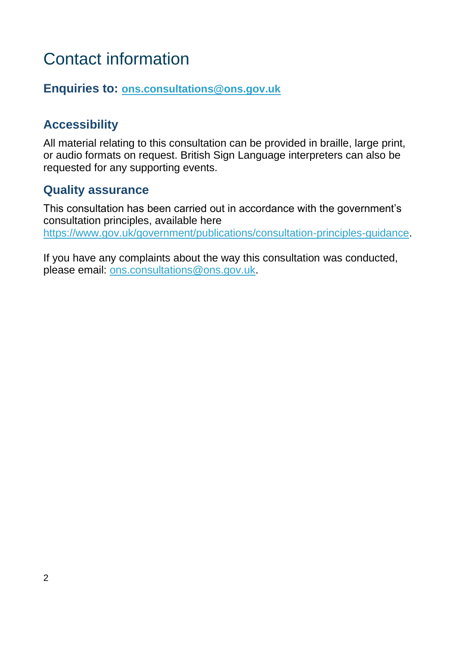# <span id="page-2-0"></span>Contact information

## **Enquiries to: [ons.consultations@ons.gov.uk](mailto:ons.consultations@ons.gov.uk)**

## **Accessibility**

All material relating to this consultation can be provided in braille, large print, or audio formats on request. British Sign Language interpreters can also be requested for any supporting events.

## **Quality assurance**

This consultation has been carried out in accordance with the government's consultation principles, available here [https://www.gov.uk/government/publications/consultation-principles-guidance.](https://www.gov.uk/government/publications/consultation-principles-guidance)

If you have any complaints about the way this consultation was conducted, please email: [ons.consultations@ons.gov.uk.](mailto:ons.consultations@ons.gov.uk)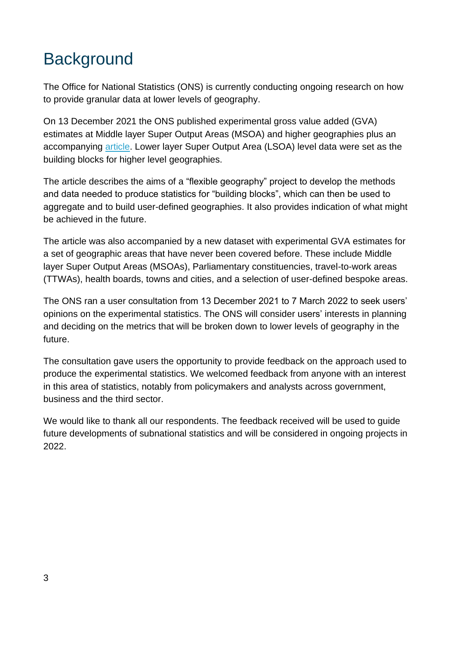# <span id="page-3-0"></span>**Background**

The Office for National Statistics (ONS) is currently conducting ongoing research on how to provide granular data at lower levels of geography.

On 13 December 2021 the ONS published experimental gross value added (GVA) estimates at Middle layer Super Output Areas (MSOA) and higher geographies plus an accompanying [article.](https://www.ons.gov.uk/releases/flexiblegeographyforannualsubnationalgrossvalueaddedgvastatistics) Lower layer Super Output Area (LSOA) level data were set as the building blocks for higher level geographies.

The article describes the aims of a "flexible geography" project to develop the methods and data needed to produce statistics for "building blocks", which can then be used to aggregate and to build user-defined geographies. It also provides indication of what might be achieved in the future.

The article was also accompanied by a new dataset with experimental GVA estimates for a set of geographic areas that have never been covered before. These include Middle layer Super Output Areas (MSOAs), Parliamentary constituencies, travel-to-work areas (TTWAs), health boards, towns and cities, and a selection of user-defined bespoke areas.

The ONS ran a user consultation from 13 December 2021 to 7 March 2022 to seek users' opinions on the experimental statistics. The ONS will consider users' interests in planning and deciding on the metrics that will be broken down to lower levels of geography in the future.

The consultation gave users the opportunity to provide feedback on the approach used to produce the experimental statistics. We welcomed feedback from anyone with an interest in this area of statistics, notably from policymakers and analysts across government, business and the third sector.

We would like to thank all our respondents. The feedback received will be used to guide future developments of subnational statistics and will be considered in ongoing projects in 2022.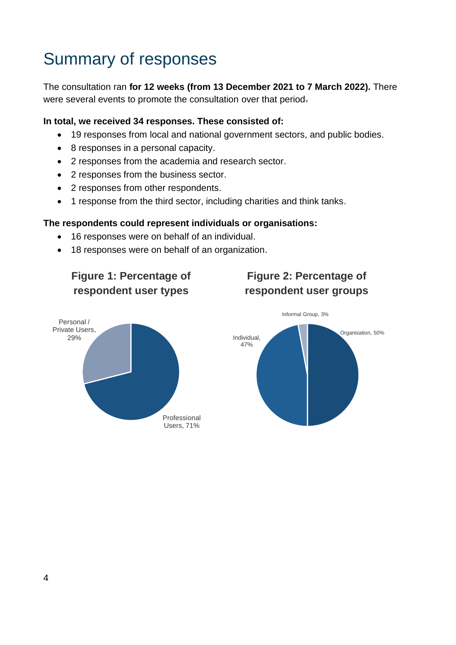# <span id="page-4-0"></span>Summary of responses

The consultation ran **for 12 weeks (from 13 December 2021 to 7 March 2022).** There were several events to promote the consultation over that period.

#### **In total, we received 34 responses. These consisted of:**

- 19 responses from local and national government sectors, and public bodies.
- 8 responses in a personal capacity.
- 2 responses from the academia and research sector.
- 2 responses from the business sector.
- 2 responses from other respondents.
- 1 response from the third sector, including charities and think tanks.

#### **The respondents could represent individuals or organisations:**

- 16 responses were on behalf of an individual.
- 18 responses were on behalf of an organization.



Personal / Private Users, 29%

## **Figure 2: Percentage of respondent user groups**

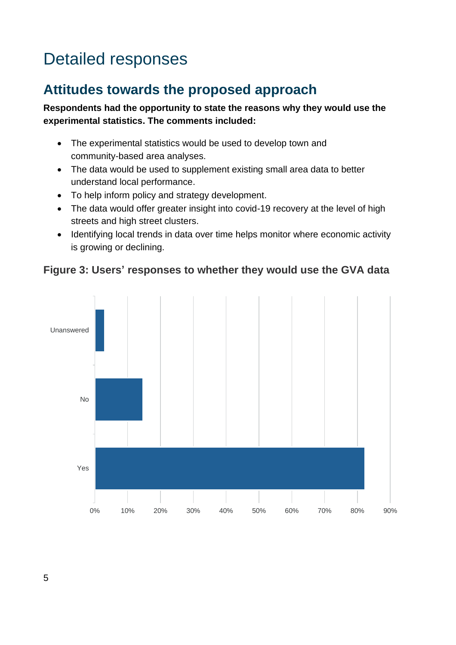# <span id="page-5-0"></span>Detailed responses

## <span id="page-5-1"></span>**Attitudes towards the proposed approach**

### **Respondents had the opportunity to state the reasons why they would use the experimental statistics. The comments included:**

- The experimental statistics would be used to develop town and community-based area analyses.
- The data would be used to supplement existing small area data to better understand local performance.
- To help inform policy and strategy development.
- The data would offer greater insight into covid-19 recovery at the level of high streets and high street clusters.
- Identifying local trends in data over time helps monitor where economic activity is growing or declining.



## **Figure 3: Users' responses to whether they would use the GVA data**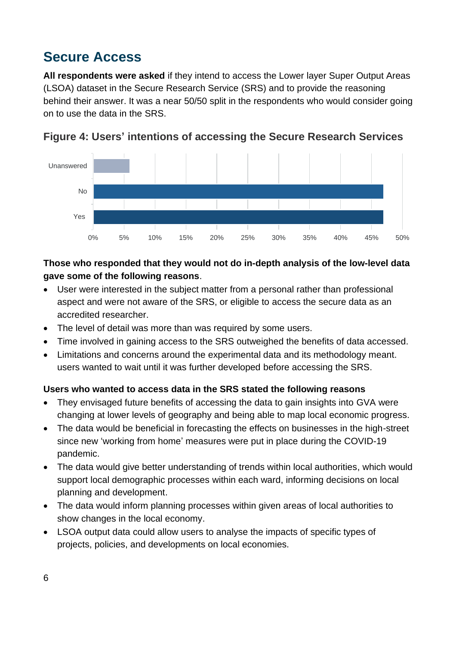## <span id="page-6-0"></span>**Secure Access**

**All respondents were asked** if they intend to access the Lower layer Super Output Areas (LSOA) dataset in the Secure Research Service (SRS) and to provide the reasoning behind their answer. It was a near 50/50 split in the respondents who would consider going on to use the data in the SRS.





## **Those who responded that they would not do in-depth analysis of the low-level data gave some of the following reasons**.

- User were interested in the subject matter from a personal rather than professional aspect and were not aware of the SRS, or eligible to access the secure data as an accredited researcher.
- The level of detail was more than was required by some users.
- Time involved in gaining access to the SRS outweighed the benefits of data accessed.
- Limitations and concerns around the experimental data and its methodology meant. users wanted to wait until it was further developed before accessing the SRS.

### **Users who wanted to access data in the SRS stated the following reasons**

- They envisaged future benefits of accessing the data to gain insights into GVA were changing at lower levels of geography and being able to map local economic progress.
- The data would be beneficial in forecasting the effects on businesses in the high-street since new 'working from home' measures were put in place during the COVID-19 pandemic.
- The data would give better understanding of trends within local authorities, which would support local demographic processes within each ward, informing decisions on local planning and development.
- The data would inform planning processes within given areas of local authorities to show changes in the local economy.
- LSOA output data could allow users to analyse the impacts of specific types of projects, policies, and developments on local economies.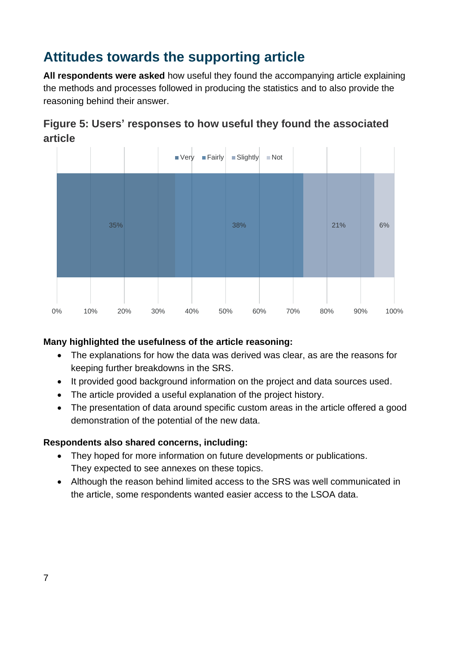## <span id="page-7-0"></span>**Attitudes towards the supporting article**

**All respondents were asked** how useful they found the accompanying article explaining the methods and processes followed in producing the statistics and to also provide the reasoning behind their answer.



## **Figure 5: Users' responses to how useful they found the associated article**

### **Many highlighted the usefulness of the article reasoning:**

- The explanations for how the data was derived was clear, as are the reasons for keeping further breakdowns in the SRS.
- It provided good background information on the project and data sources used.
- The article provided a useful explanation of the project history.
- The presentation of data around specific custom areas in the article offered a good demonstration of the potential of the new data.

#### **Respondents also shared concerns, including:**

- They hoped for more information on future developments or publications. They expected to see annexes on these topics.
- Although the reason behind limited access to the SRS was well communicated in the article, some respondents wanted easier access to the LSOA data.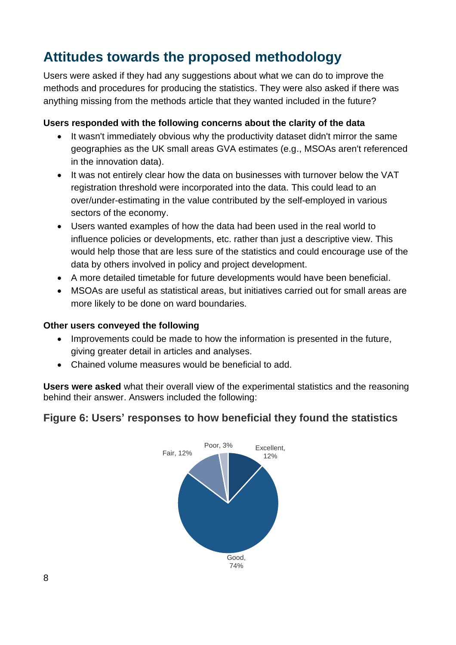## <span id="page-8-0"></span>**Attitudes towards the proposed methodology**

Users were asked if they had any suggestions about what we can do to improve the methods and procedures for producing the statistics. They were also asked if there was anything missing from the methods article that they wanted included in the future?

### **Users responded with the following concerns about the clarity of the data**

- It wasn't immediately obvious why the productivity dataset didn't mirror the same geographies as the UK small areas GVA estimates (e.g., MSOAs aren't referenced in the innovation data).
- It was not entirely clear how the data on businesses with turnover below the VAT registration threshold were incorporated into the data. This could lead to an over/under-estimating in the value contributed by the self-employed in various sectors of the economy.
- Users wanted examples of how the data had been used in the real world to influence policies or developments, etc. rather than just a descriptive view. This would help those that are less sure of the statistics and could encourage use of the data by others involved in policy and project development.
- A more detailed timetable for future developments would have been beneficial.
- MSOAs are useful as statistical areas, but initiatives carried out for small areas are more likely to be done on ward boundaries.

### **Other users conveyed the following**

- Improvements could be made to how the information is presented in the future, giving greater detail in articles and analyses.
- Chained volume measures would be beneficial to add.

**Users were asked** what their overall view of the experimental statistics and the reasoning behind their answer. Answers included the following:

## **Figure 6: Users' responses to how beneficial they found the statistics**

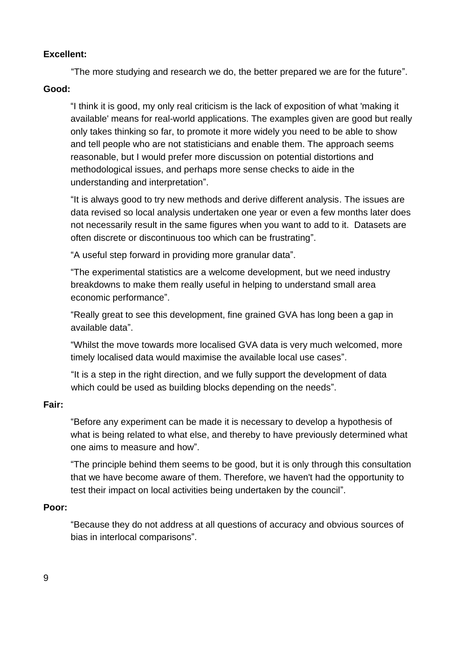#### **Excellent:**

"The more studying and research we do, the better prepared we are for the future".

#### **Good:**

"I think it is good, my only real criticism is the lack of exposition of what 'making it available' means for real-world applications. The examples given are good but really only takes thinking so far, to promote it more widely you need to be able to show and tell people who are not statisticians and enable them. The approach seems reasonable, but I would prefer more discussion on potential distortions and methodological issues, and perhaps more sense checks to aide in the understanding and interpretation".

"It is always good to try new methods and derive different analysis. The issues are data revised so local analysis undertaken one year or even a few months later does not necessarily result in the same figures when you want to add to it. Datasets are often discrete or discontinuous too which can be frustrating".

"A useful step forward in providing more granular data".

"The experimental statistics are a welcome development, but we need industry breakdowns to make them really useful in helping to understand small area economic performance".

"Really great to see this development, fine grained GVA has long been a gap in available data".

"Whilst the move towards more localised GVA data is very much welcomed, more timely localised data would maximise the available local use cases".

"It is a step in the right direction, and we fully support the development of data which could be used as building blocks depending on the needs".

#### **Fair:**

"Before any experiment can be made it is necessary to develop a hypothesis of what is being related to what else, and thereby to have previously determined what one aims to measure and how".

"The principle behind them seems to be good, but it is only through this consultation that we have become aware of them. Therefore, we haven't had the opportunity to test their impact on local activities being undertaken by the council".

#### **Poor:**

"Because they do not address at all questions of accuracy and obvious sources of bias in interlocal comparisons".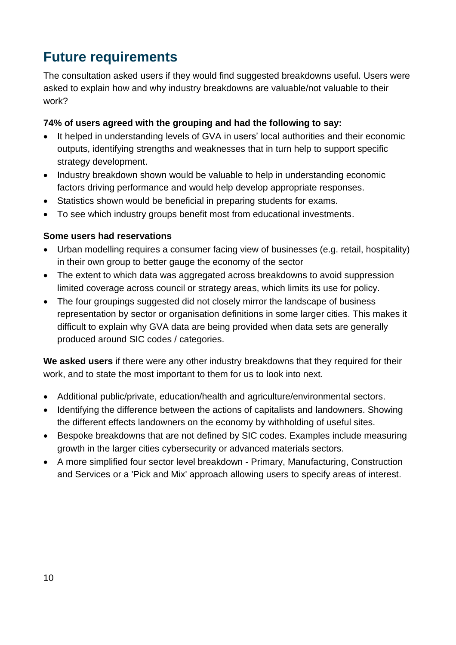## <span id="page-10-0"></span>**Future requirements**

The consultation asked users if they would find suggested breakdowns useful. Users were asked to explain how and why industry breakdowns are valuable/not valuable to their work?

### **74% of users agreed with the grouping and had the following to say:**

- It helped in understanding levels of GVA in users' local authorities and their economic outputs, identifying strengths and weaknesses that in turn help to support specific strategy development.
- Industry breakdown shown would be valuable to help in understanding economic factors driving performance and would help develop appropriate responses.
- Statistics shown would be beneficial in preparing students for exams.
- To see which industry groups benefit most from educational investments.

### **Some users had reservations**

- Urban modelling requires a consumer facing view of businesses (e.g. retail, hospitality) in their own group to better gauge the economy of the sector
- The extent to which data was aggregated across breakdowns to avoid suppression limited coverage across council or strategy areas, which limits its use for policy.
- The four groupings suggested did not closely mirror the landscape of business representation by sector or organisation definitions in some larger cities. This makes it difficult to explain why GVA data are being provided when data sets are generally produced around SIC codes / categories.

**We asked users** if there were any other industry breakdowns that they required for their work, and to state the most important to them for us to look into next.

- Additional public/private, education/health and agriculture/environmental sectors.
- Identifying the difference between the actions of capitalists and landowners. Showing the different effects landowners on the economy by withholding of useful sites.
- Bespoke breakdowns that are not defined by SIC codes. Examples include measuring growth in the larger cities cybersecurity or advanced materials sectors.
- A more simplified four sector level breakdown Primary, Manufacturing, Construction and Services or a 'Pick and Mix' approach allowing users to specify areas of interest.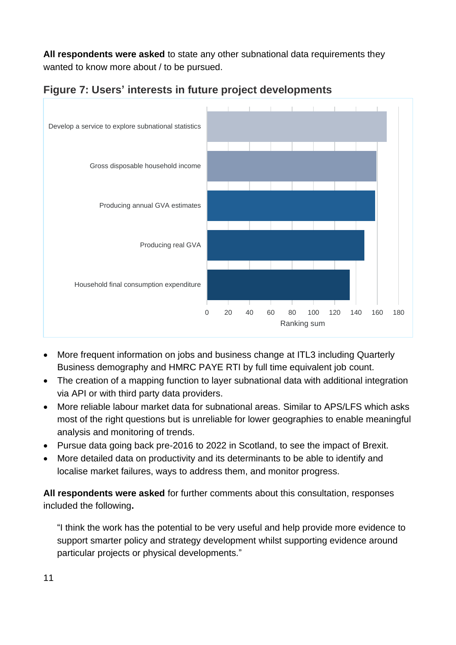**All respondents were asked** to state any other subnational data requirements they wanted to know more about / to be pursued.



**Figure 7: Users' interests in future project developments**

- More frequent information on jobs and business change at ITL3 including Quarterly Business demography and HMRC PAYE RTI by full time equivalent job count.
- The creation of a mapping function to layer subnational data with additional integration via API or with third party data providers.
- More reliable labour market data for subnational areas. Similar to APS/LFS which asks most of the right questions but is unreliable for lower geographies to enable meaningful analysis and monitoring of trends.
- Pursue data going back pre-2016 to 2022 in Scotland, to see the impact of Brexit.
- More detailed data on productivity and its determinants to be able to identify and localise market failures, ways to address them, and monitor progress.

**All respondents were asked** for further comments about this consultation, responses included the following**.**

"I think the work has the potential to be very useful and help provide more evidence to support smarter policy and strategy development whilst supporting evidence around particular projects or physical developments."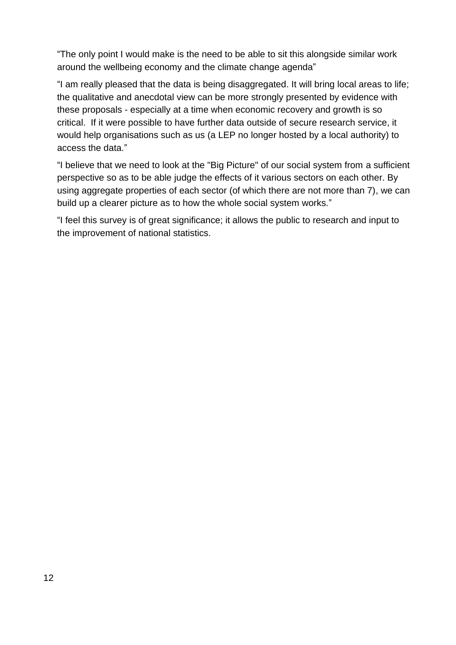"The only point I would make is the need to be able to sit this alongside similar work around the wellbeing economy and the climate change agenda"

"I am really pleased that the data is being disaggregated. It will bring local areas to life; the qualitative and anecdotal view can be more strongly presented by evidence with these proposals - especially at a time when economic recovery and growth is so critical. If it were possible to have further data outside of secure research service, it would help organisations such as us (a LEP no longer hosted by a local authority) to access the data."

"I believe that we need to look at the "Big Picture" of our social system from a sufficient perspective so as to be able judge the effects of it various sectors on each other. By using aggregate properties of each sector (of which there are not more than 7), we can build up a clearer picture as to how the whole social system works."

"I feel this survey is of great significance; it allows the public to research and input to the improvement of national statistics.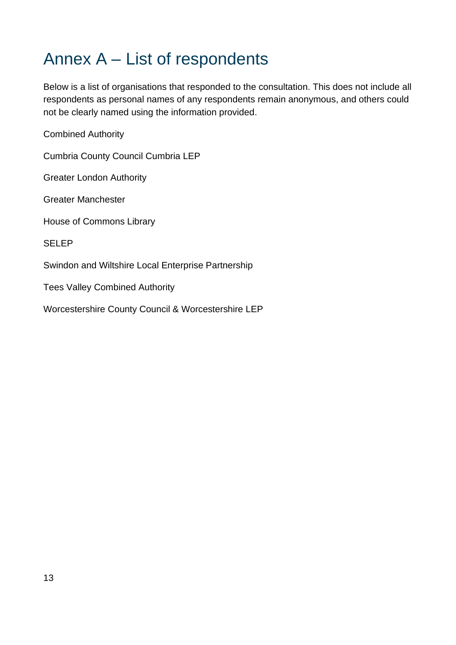## <span id="page-13-0"></span>Annex A – List of respondents

Below is a list of organisations that responded to the consultation. This does not include all respondents as personal names of any respondents remain anonymous, and others could not be clearly named using the information provided.

Combined Authority

Cumbria County Council Cumbria LEP

Greater London Authority

Greater Manchester

House of Commons Library

SELEP

Swindon and Wiltshire Local Enterprise Partnership

Tees Valley Combined Authority

Worcestershire County Council & Worcestershire LEP